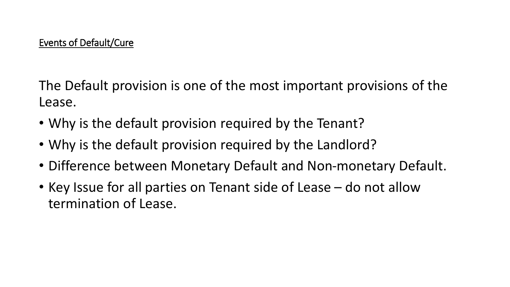The Default provision is one of the most important provisions of the Lease.

- Why is the default provision required by the Tenant?
- Why is the default provision required by the Landlord?
- Difference between Monetary Default and Non-monetary Default.
- Key Issue for all parties on Tenant side of Lease do not allow termination of Lease.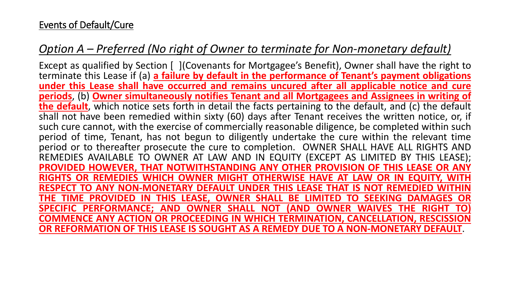## Events of Default/Cure

# *Option A – Preferred (No right of Owner to terminate for Non-monetary default)*

Except as qualified by Section [ ](Covenants for Mortgagee's Benefit), Owner shall have the right to terminate this Lease if (a) **a failure by default in the performance of Tenant's payment obligations under this Lease shall have occurred and remains uncured after all applicable notice and cure periods**, (b) **Owner simultaneously notifies Tenant and all Mortgagees and Assignees in writing of the default**, which notice sets forth in detail the facts pertaining to the default, and (c) the default shall not have been remedied within sixty (60) days after Tenant receives the written notice, or, if such cure cannot, with the exercise of commercially reasonable diligence, be completed within such period of time, Tenant, has not begun to diligently undertake the cure within the relevant time period or to thereafter prosecute the cure to completion. OWNER SHALL HAVE ALL RIGHTS AND REMEDIES AVAILABLE TO OWNER AT LAW AND IN EQUITY (EXCEPT AS LIMITED BY THIS LEASE); **PROVIDED HOWEVER, THAT NOTWITHSTANDING ANY OTHER PROVISION OF THIS LEASE OR ANY RIGHTS OR REMEDIES WHICH OWNER MIGHT OTHERWISE HAVE AT LAW OR IN EQUITY, WITH RESPECT TO ANY NON-MONETARY DEFAULT UNDER THIS LEASE THAT IS NOT REMEDIED WITHIN THE TIME PROVIDED IN THIS LEASE, OWNER SHALL BE LIMITED TO SEEKING DAMAGES OR SPECIFIC PERFORMANCE; AND OWNER SHALL NOT (AND OWNER WAIVES THE RIGHT TO) COMMENCE ANY ACTION OR PROCEEDING IN WHICH TERMINATION, CANCELLATION, RESCISSION OR REFORMATION OF THIS LEASE IS SOUGHT AS A REMEDY DUE TO A NON-MONETARY DEFAULT**.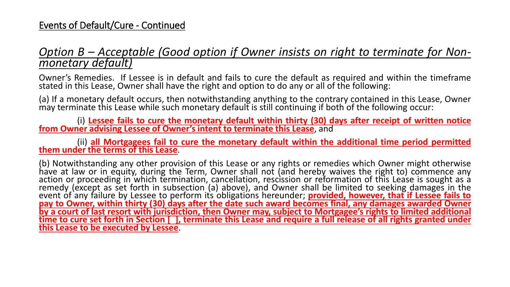## *Option B – Acceptable (Good option if Owner insists on right to terminate for Nonmonetary default)*

Owner's Remedies. If Lessee is in default and fails to cure the default as required and within the timeframe stated in this Lease, Owner shall have the right and option to do any or all of the following:

(a) If a monetary default occurs, then notwithstanding anything to the contrary contained in this Lease, Owner may terminate this Lease while such monetary default is still continuing if both of the following occur:

(i) **Lessee fails to cure the monetary default within thirty (30) days after receipt of written notice from Owner advising Lessee of Owner's intent to terminate this Lease**, and

(ii) **all Mortgagees fail to cure the monetary default within the additional time period permitted them under the terms of this Lease**.

(b) Notwithstanding any other provision of this Lease or any rights or remedies which Owner might otherwise have at law or in equity, during the Term, Owner shall not (and hereby waives the right to) commence any action or proceeding in which termination, cancellation, rescission or reformation of this Lease is sought as a remedy (except as set forth in subsection (a) above), and Owner shall be limited to seeking damages in the event of any failure by Lessee to perform its obligations hereunder; **provided, however, that if Lessee fails to** pay to Owner, within thirty (30) days after the date such award becomes final, any damages awarded Owner by a court of last resort with jurisdiction, then Owner may, subject to Mortgagee's rights to limited additional time to cure set forth in Section [], terminate this Lease and require a full release of all rights granted under **this Lease to be executed by Lessee**.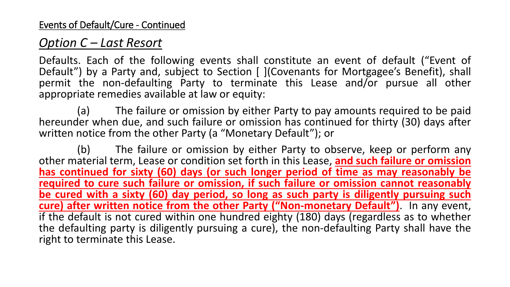# *Option C – Last Resort*

Defaults. Each of the following events shall constitute an event of default ("Event of Default") by a Party and, subject to Section [ ](Covenants for Mortgagee's Benefit), shall permit the non-defaulting Party to terminate this Lease and/or pursue all other appropriate remedies available at law or equity:

(a) The failure or omission by either Party to pay amounts required to be paid hereunder when due, and such failure or omission has continued for thirty (30) days after written notice from the other Party (a "Monetary Default"); or

(b) The failure or omission by either Party to observe, keep or perform any other material term, Lease or condition set forth in this Lease, **and such failure or omission has continued for sixty (60) days (or such longer period of time as may reasonably be required to cure such failure or omission, if such failure or omission cannot reasonably be cured with a sixty (60) day period, so long as such party is diligently pursuing such cure) after written notice from the other Party ("Non-monetary Default")**. In any event, if the default is not cured within one hundred eighty (180) days (regardless as to whether the defaulting party is diligently pursuing a cure), the non-defaulting Party shall have the right to terminate this Lease.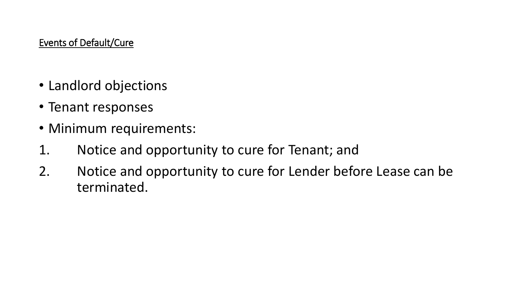## Events of Default/Cure

- Landlord objections
- Tenant responses
- Minimum requirements:
- 1. Notice and opportunity to cure for Tenant; and
- 2. Notice and opportunity to cure for Lender before Lease can be terminated.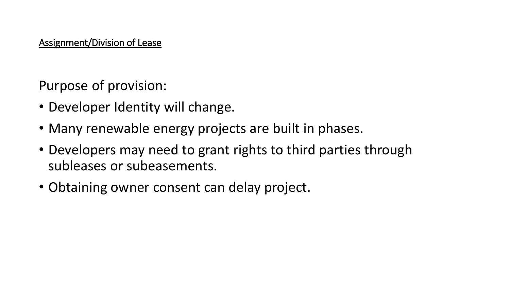Assignment/Division of Lease

Purpose of provision:

- Developer Identity will change.
- Many renewable energy projects are built in phases.
- Developers may need to grant rights to third parties through subleases or subeasements.
- Obtaining owner consent can delay project.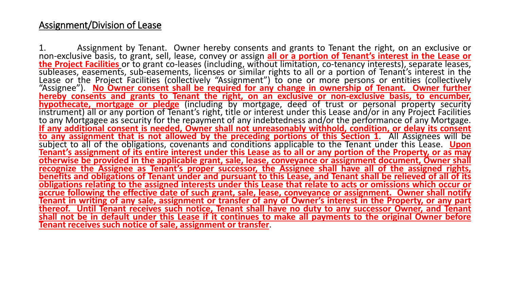## Assignment/Division of Lease

1. Assignment by Tenant. Owner hereby consents and grants to Tenant the right, on an exclusive or non-exclusive basis, to grant, sell, lease, convey or assign **all or a portion of Tenant's interest in the Lease or the Project Facilities** or to grant co-leases (including, without limitation, co-tenancy interests), separate leases, subleases, easements, sub-easements, licenses or similar rights to all or a portion of Tenant's interest in the Lease or the Project Facilities (collectively "Assignment") to one or more persons or entities (collectively "Assignee"). **No Owner consent shall be required for any change in ownership of Tenant. Owner further hereby consents and grants to Tenant the right, on an exclusive or non-exclusive basis, to encumber, hypothecate, mortgage or pledge** (including by mortgage, deed of trust or personal property security instrument) all or any portion of Tenant's right, title or interest under this Lease and/or in any Project Facilities to any Mortgagee as security for the repayment of any indebtedness and/or the performance of any Mortgage. **If any additional consent is needed, Owner shall not unreasonably withhold, condition, or delay its consent to any assignment that is not allowed by the preceding portions of this Section 1**. All Assignees will be subject to all of the obligations, covenants and conditions applicable to the Tenant under this Lease. **Upon** Tenant's assignment of its entire interest under this Lease as to all or any portion of the Property, or as may **otherwise be provided in the applicable grant, sale, lease, conveyance or assignment document, Owner shall recognize the Assignee as Tenant's proper successor, the Assignee shall have all of the assigned rights,** benefits and obligations of Tenant under and pursuant to this Lease, and Tenant shall be relieved of all of its obligations relating to the assigned interests under this Lease that relate to acts or omissions which occur or **accrue following the effective date of such grant, sale, lease, conveyance or assignment. Owner shall notify** Tenant in writing of any sale, assignment or transfer of any of Owner's interest in the Property, or any part **thereof. Until Tenant receives such notice, Tenant shall have no duty to any successor Owner, and Tenant** shall not be in default under this Lease if it continues to make all payments to the original Owner before **Tenant receives such notice of sale, assignment or transfer**.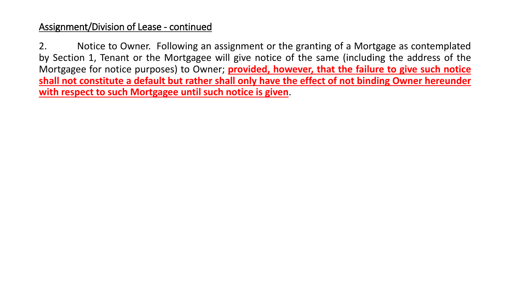2. Notice to Owner. Following an assignment or the granting of a Mortgage as contemplated by Section 1, Tenant or the Mortgagee will give notice of the same (including the address of the Mortgagee for notice purposes) to Owner; **provided, however, that the failure to give such notice shall not constitute a default but rather shall only have the effect of not binding Owner hereunder with respect to such Mortgagee until such notice is given**.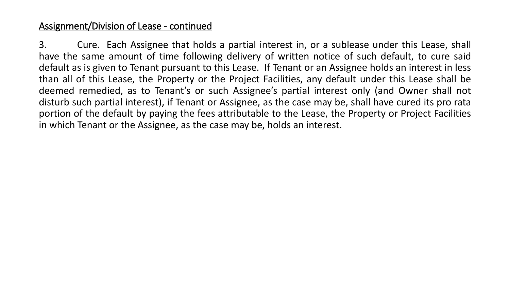3. Cure. Each Assignee that holds a partial interest in, or a sublease under this Lease, shall have the same amount of time following delivery of written notice of such default, to cure said default as is given to Tenant pursuant to this Lease. If Tenant or an Assignee holds an interest in less than all of this Lease, the Property or the Project Facilities, any default under this Lease shall be deemed remedied, as to Tenant's or such Assignee's partial interest only (and Owner shall not disturb such partial interest), if Tenant or Assignee, as the case may be, shall have cured its pro rata portion of the default by paying the fees attributable to the Lease, the Property or Project Facilities in which Tenant or the Assignee, as the case may be, holds an interest.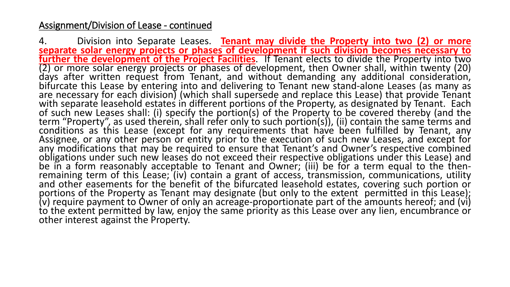4. Division into Separate Leases. **Tenant may divide the Property into two (2) or more separate solar energy projects or phases of development if such division becomes necessary to further the development of the Project Facilities**. If Tenant elects to divide the Property into two (2) or more solar energy projects or phases of development, then Owner shall, within twenty (20) days after written request from Tenant, and without demanding any additional consideration, bifurcate this Lease by entering into and delivering to Tenant new stand-alone Leases (as many as are necessary for each division) (which shall supersede and replace this Lease) that provide Tenant with separate leasehold estates in different portions of the Property, as designated by Tenant. Each of such new Leases shall: (i) specify the portion(s) of the Property to be covered thereby (and the term "Property", as used therein, shall refer only to such portion(s)), (ii) contain the same terms and conditions as this Lease (except for any requirements that have been fulfilled by Tenant, any Assignee, or any other person or entity prior to the execution of such new Leases, and except for any modifications that may be required to ensure that Tenant's and Owner's respective combined obligations under such new leases do not exceed their respective obligations under this Lease) and be in a form reasonably acceptable to Tenant and Owner; (iii) be for a term equal to the thenremaining term of this Lease; (iv) contain a grant of access, transmission, communications, utility and other easements for the benefit of the bifurcated leasehold estates, covering such portion or portions of the Property as Tenant may designate (but only to the extent permitted in this Lease); (v) require payment to Owner of only an acreage-proportionate part of the amounts hereof; and (vi)  $\mathsf{to}$  the extent permitted by law, enjoy the same priority as this Lease over any lien, encumbrance or other interest against the Property.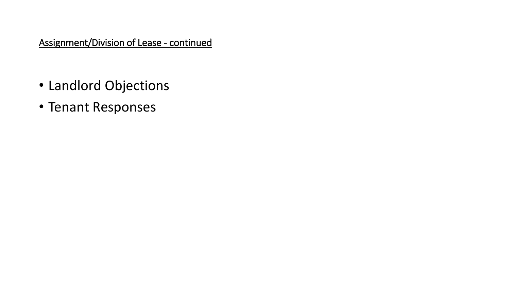- Landlord Objections
- Tenant Responses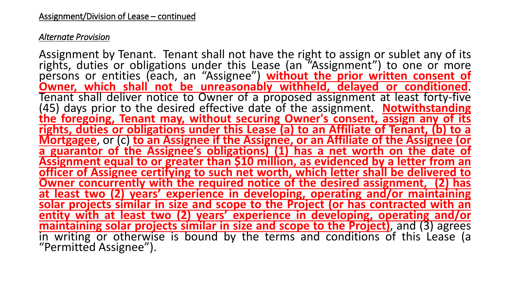#### *Alternate Provision*

Assignment by Tenant. Tenant shall not have the right to assign or sublet any of its rights, duties or obligations under this Lease (an "Assignment") to one or more persons or entities (each, an "Assignee") **without the prior written consent of Owner, which shall not be unreasonably withheld, delayed or conditioned**. Tenant shall deliver notice to Owner of a proposed assignment at least forty-five (45) days prior to the desired effective date of the assignment. **Notwithstanding the foregoing, Tenant may, without securing Owner's consent, assign any of its rights, duties or obligations under this Lease (a) to an Affiliate of Tenant, (b) to a Mortgagee**, or (c) **to an Assignee if the Assignee, or an Affiliate of the Assignee (or a guarantor of the Assignee's obligations) (1) has a net worth on the date of Assignment equal to or greater than \$10 million, as evidenced by a letter from an officer of Assignee certifying to such net worth, which letter shall be delivered to Owner concurrently with the required notice of the desired assignment, (2) has at least two (2) years' experience in developing, operating and/or maintaining solar projects similar in size and scope to the Project (or has contracted with an entity with at least two (2) years' experience in developing, operating and/or maintaining solar projects similar in size and scope to the Project)**, and (3) agrees in writing or otherwise is bound by the terms and conditions of this Lease (a "Permitted Assignee").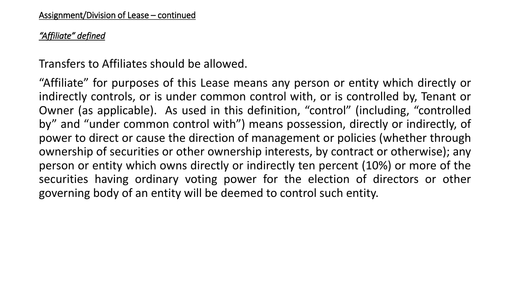## *"Affiliate" defined*

Transfers to Affiliates should be allowed.

"Affiliate" for purposes of this Lease means any person or entity which directly or indirectly controls, or is under common control with, or is controlled by, Tenant or Owner (as applicable). As used in this definition, "control" (including, "controlled by" and "under common control with") means possession, directly or indirectly, of power to direct or cause the direction of management or policies (whether through ownership of securities or other ownership interests, by contract or otherwise); any person or entity which owns directly or indirectly ten percent (10%) or more of the securities having ordinary voting power for the election of directors or other governing body of an entity will be deemed to control such entity.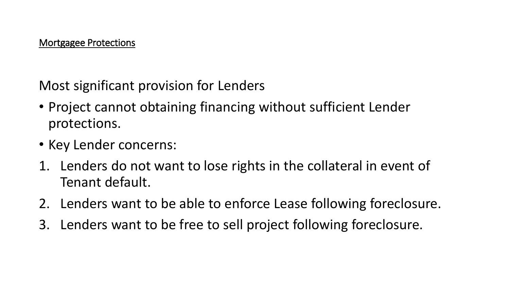Most significant provision for Lenders

- Project cannot obtaining financing without sufficient Lender protections.
- Key Lender concerns:
- 1. Lenders do not want to lose rights in the collateral in event of Tenant default.
- 2. Lenders want to be able to enforce Lease following foreclosure.
- 3. Lenders want to be free to sell project following foreclosure.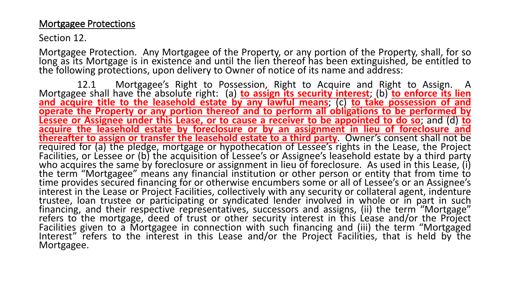## Mortgagee Protections

Section 12.

Mortgagee Protection. Any Mortgagee of the Property, or any portion of the Property, shall, for so long as its Mortgage is in existence and until the lien thereof has been extinguished, be entitled to the following protections, upon delivery to Owner of notice of its name and address:

12.1 Mortgagee's Right to Possession, Right to Acquire and Right to Assign. A Mortgagee shall have the absolute right: (a) **to assign its security interest**; (b) **to enforce its lien and acquire title to the leasehold estate by any lawful means**; (c) **to take possession of and operate the Property or any portion thereof and to perform all obligations to be performed by Lessee or Assignee under this Lease, or to cause a receiver to be appointed to do so**; and (d) **to acquire the leasehold estate by foreclosure or by an assignment in lieu of foreclosure and thereafter to assign or transfer the leasehold estate to a third party**. Owner's consent shall not be required for (a) the pledge, mortgage or hypothecation of Lessee's rights in the Lease, the Project Facilities, or Lessee or (b) the acquisition of Lessee's or Assignee's leasehold estate by a third party who acquires the same by foreclosure or assignment in lieu of foreclosure. As used in this Lease, (i) the term "Mortgagee" means any financial institution or other person or entity that from time to time provides secured financing for or otherwise encumbers some or all of Lessee's or an Assignee's interest in the Lease or Project Facilities, collectively with any security or collateral agent, indenture trustee, loan trustee or participating or syndicated lender involved in whole or in part in such financing, and their respective representatives, successors and assigns, (ii) the term "Mortgage" refers to the mortgage, deed of trust or other security interest in this Lease and/or the Project Facilities given to a Mortgagee in connection with such financing and (iii) the term "Mortgaged Interest" refers to the interest in this Lease and/or the Project Facilities, that is held by the Mortgagee.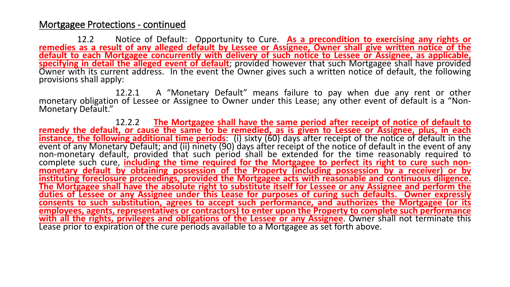12.2 Notice of Default: Opportunity to Cure. **As a precondition to exercising any rights or** remedies as a result of any alleged default by Lessee or Assignee, Owner shall give written notice of the **default to each Mortgagee concurrently with delivery of such notice to Lessee or Assignee, as applicable, specifying in detail the alleged event of default**; provided however that such Mortgagee shall have provided Owner with its current address. In the event the Owner gives such a written notice of default, the following provisions shall apply:

12.2.1 A "Monetary Default" means failure to pay when due any rent or other monetary obligation of Lessee or Assignee to Owner under this Lease; any other event of default is a "Non-Monetary Default."

12.2.2 **The Mortgagee shall have the same period after receipt of notice of default to** remedy the default, or cause the same to be remedied, as is given to Lessee or Assignee, plus, in each **instance, the following additional time periods**: (i) sixty (60) days after receipt of the notice of default in the event of any Monetary Default; and (ii) ninety (90) days after receipt of the notice of default in the event of any non-monetary default, provided that such period shall be extended for the time reasonably required to complete such cure, **including the time required for the Mortgagee to perfect its right to cure such nonmonetary default by obtaining possession of the Property (including possession by a receiver) or by instituting foreclosure proceedings, provided the Mortgagee acts with reasonable and continuous diligence.** The Mortgagee shall have the absolute right to substitute itself for Lessee or any Assignee and perform the **duties of Lessee or any Assignee under this Lease for purposes of curing such defaults. Owner expressly consents to such substitution, agrees to accept such performance, and authorizes the Mortgagee (or its employees, agents, representatives or contractors) to enter upon the Property to complete such performance with all the rights, privileges and obligations of the Lessee or any Assignee**. Owner shall not terminate this Lease prior to expiration of the cure periods available to a Mortgagee as set forth above.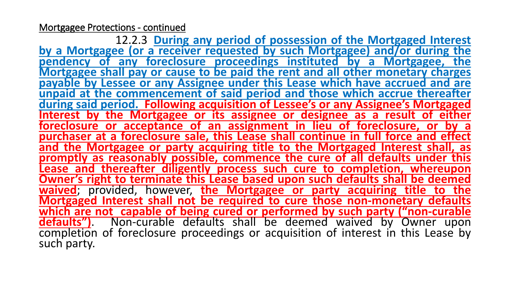12.2.3 **During any period of possession of the Mortgaged Interest by a Mortgagee (or a receiver requested by such Mortgagee) and/or during the pendency of any foreclosure proceedings instituted by a Mortgagee, the Mortgagee shall pay or cause to be paid the rent and all other monetary charges payable by Lessee or any Assignee under this Lease which have accrued and are unpaid at the commencement of said period and those which accrue thereafter during said period. Following acquisition of Lessee's or any Assignee's Mortgaged Interest by the Mortgagee or its assignee or designee as a result of either foreclosure or acceptance of an assignment in lieu of foreclosure, or by a purchaser at a foreclosure sale, this Lease shall continue in full force and effect and the Mortgagee or party acquiring title to the Mortgaged Interest shall, as promptly as reasonably possible, commence the cure of all defaults under this Lease and thereafter diligently process such cure to completion, whereupon Owner's right to terminate this Lease based upon such defaults shall be deemed waived**; provided, however, **the Mortgagee or party acquiring title to the Mortgaged Interest shall not be required to cure those non-monetary defaults which are not capable of being cured or performed by such party ("non-curable defaults")**. Non-curable defaults shall be deemed waived by Owner upon completion of foreclosure proceedings or acquisition of interest in this Lease by such party.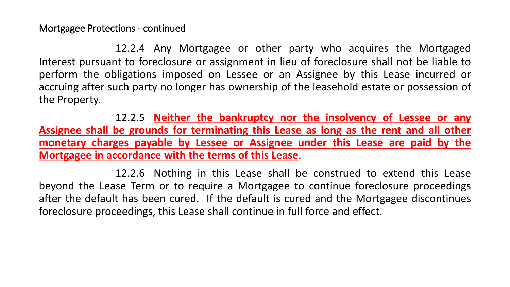12.2.4 Any Mortgagee or other party who acquires the Mortgaged Interest pursuant to foreclosure or assignment in lieu of foreclosure shall not be liable to perform the obligations imposed on Lessee or an Assignee by this Lease incurred or accruing after such party no longer has ownership of the leasehold estate or possession of the Property.

12.2.5 **Neither the bankruptcy nor the insolvency of Lessee or any Assignee shall be grounds for terminating this Lease as long as the rent and all other monetary charges payable by Lessee or Assignee under this Lease are paid by the Mortgagee in accordance with the terms of this Lease**.

12.2.6 Nothing in this Lease shall be construed to extend this Lease beyond the Lease Term or to require a Mortgagee to continue foreclosure proceedings after the default has been cured. If the default is cured and the Mortgagee discontinues foreclosure proceedings, this Lease shall continue in full force and effect.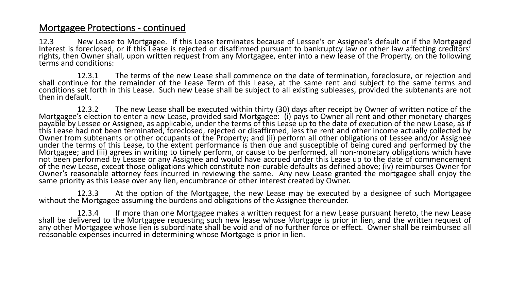12.3 New Lease to Mortgagee. If this Lease terminates because of Lessee's or Assignee's default or if the Mortgaged Interest is foreclosed, or if this Lease is rejected or disaffirmed pursuant to bankruptcy law or other law affecting creditors' rights, then Owner shall, upon written request from any Mortgagee, enter into a new lease of the Property, on the following terms and conditions:

12.3.1 The terms of the new Lease shall commence on the date of termination, foreclosure, or rejection and shall continue for the remainder of the Lease Term of this Lease, at the same rent and subject to the same terms and conditions set forth in this Lease. Such new Lease shall be subject to all existing subleases, provided the subtenants are not then in default.

12.3.2 The new Lease shall be executed within thirty (30) days after receipt by Owner of written notice of the Mortgagee's election to enter a new Lease, provided said Mortgagee: (i) pays to Owner all rent and other monetary charges payable by Lessee or Assignee, as applicable, under the terms of this Lease up to the date of execution of the new Lease, as if this Lease had not been terminated, foreclosed, rejected or disaffirmed, less the rent and other income actually collected by Owner from subtenants or other occupants of the Property; and (ii) perform all other obligations of Lessee and/or Assignee under the terms of this Lease, to the extent performance is then due and susceptible of being cured and performed by the Mortgagee; and (iii) agrees in writing to timely perform, or cause to be performed, all non-monetary obligations which have not been performed by Lessee or any Assignee and would have accrued under this Lease up to the date of commencement of the new Lease, except those obligations which constitute non-curable defaults as defined above; (iv) reimburses Owner for Owner's reasonable attorney fees incurred in reviewing the same. Any new Lease granted the mortgagee shall enjoy the same priority as this Lease over any lien, encumbrance or other interest created by Owner.

12.3.3 At the option of the Mortgagee, the new Lease may be executed by a designee of such Mortgagee without the Mortgagee assuming the burdens and obligations of the Assignee thereunder.

12.3.4 If more than one Mortgagee makes a written request for a new Lease pursuant hereto, the new Lease shall be delivered to the Mortgagee requesting such new lease whose Mortgage is prior in lien, and the written request of any other Mortgagee whose lien is subordinate shall be void and of no further force or effect. Owner shall be reimbursed all reasonable expenses incurred in determining whose Mortgage is prior in lien.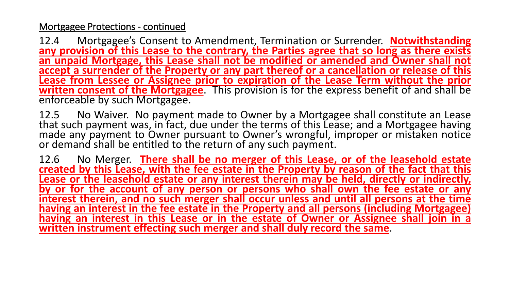12.4 Mortgagee's Consent to Amendment, Termination or Surrender. **Notwithstanding any provision of this Lease to the contrary, the Parties agree that so long as there exists an unpaid Mortgage, this Lease shall not be modified or amended and Owner shall not accept a surrender of the Property or any part thereof or a cancellation or release of this Lease from Lessee or Assignee prior to expiration of the Lease Term without the prior written consent of the Mortgagee**. This provision is for the express benefit of and shall be enforceable by such Mortgagee.

12.5 No Waiver. No payment made to Owner by a Mortgagee shall constitute an Lease that such payment was, in fact, due under the terms of this Lease; and a Mortgagee having made any payment to Owner pursuant to Owner's wrongful, improper or mistaken notice or demand shall be entitled to the return of any such payment.

12.6 No Merger. **There shall be no merger of this Lease, or of the leasehold estate created by this Lease, with the fee estate in the Property by reason of the fact that this Lease or the leasehold estate or any interest therein may be held, directly or indirectly, by or for the account of any person or persons who shall own the fee estate or any interest therein, and no such merger shall occur unless and until all persons at the time having an interest in the fee estate in the Property and all persons (including Mortgagee) having an interest in this Lease or in the estate of Owner or Assignee shall join in a written instrument effecting such merger and shall duly record the same**.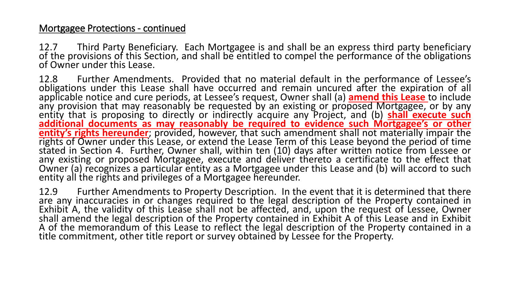12.7 Third Party Beneficiary. Each Mortgagee is and shall be an express third party beneficiary of the provisions of this Section, and shall be entitled to compel the performance of the obligations of Owner under this Lease.

12.8 Further Amendments. Provided that no material default in the performance of Lessee's obligations under this Lease shall have occurred and remain uncured after the expiration of all applicable notice and cure periods, at Lessee's request, Owner shall (a) **amend this Lease** to include any provision that may reasonably be requested by an existing or proposed Mortgagee, or by any entity that is proposing to directly or indirectly acquire any Project, and (b) **shall execute such additional documents as may reasonably be required to evidence such Mortgagee's or other entity's rights hereunder**; provided, however, that such amendment shall not materially impair the rights of Owner under this Lease, or extend the Lease Term of this Lease beyond the period of time stated in Section 4. Further, Owner shall, within ten (10) days after written notice from Lessee or any existing or proposed Mortgagee, execute and deliver thereto a certificate to the effect that Owner (a) recognizes a particular entity as a Mortgagee under this Lease and (b) will accord to such entity all the rights and privileges of a Mortgagee hereunder.

12.9 Further Amendments to Property Description. In the event that it is determined that there are any inaccuracies in or changes required to the legal description of the Property contained in Exhibit A, the validity of this Lease shall not be affected, and, upon the request of Lessee, Owner shall amend the legal description of the Property contained in Exhibit A of this Lease and in Exhibit A of the memorandum of this Lease to reflect the legal description of the Property contained in a title commitment, other title report or survey obtained by Lessee for the Property.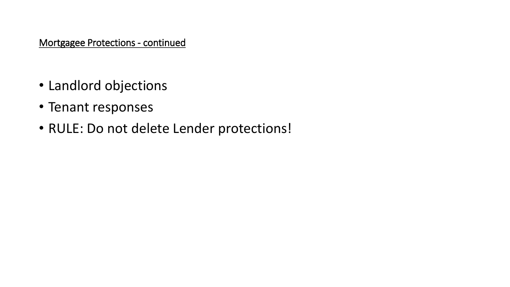- Landlord objections
- Tenant responses
- RULE: Do not delete Lender protections!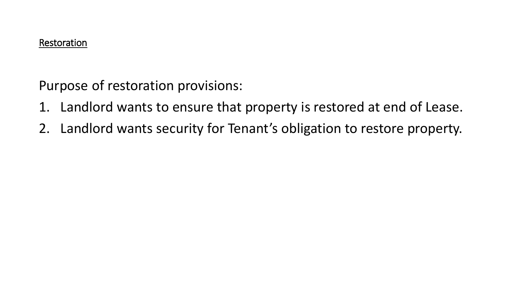Purpose of restoration provisions:

- 1. Landlord wants to ensure that property is restored at end of Lease.
- 2. Landlord wants security for Tenant's obligation to restore property.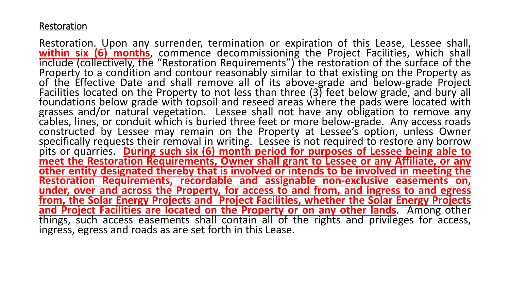## Restoration

Restoration. Upon any surrender, termination or expiration of this Lease, Lessee shall, **within six (6) months**, commence decommissioning the Project Facilities, which shall include (collectively, the "Restoration Requirements") the restoration of the surface of the Property to a condition and contour reasonably similar to that existing on the Property as of the Effective Date and shall remove all of its above-grade and below-grade Project Facilities located on the Property to not less than three (3) feet below grade, and bury all foundations below grade with topsoil and reseed areas where the pads were located with grasses and/or natural vegetation. Lessee shall not have any obligation to remove any cables, lines, or conduit which is buried three feet or more below-grade. Any access roads constructed by Lessee may remain on the Property at Lessee's option, unless Owner specifically requests their removal in writing. Lessee is not required to restore any borrow pits or quarries. **During such six (6) month period for purposes of Lessee being able to meet the Restoration Requirements, Owner shall grant to Lessee or any Affiliate, or any other entity designated thereby that is involved or intends to be involved in meeting the Restoration Requirements, recordable and assignable non-exclusive easements on, under, over and across the Property, for access to and from, and ingress to and egress from, the Solar Energy Projects and Project Facilities, whether the Solar Energy Projects and Project Facilities are located on the Property or on any other lands**. Among other things, such access easements shall contain all of the rights and privileges for access, ingress, egress and roads as are set forth in this Lease.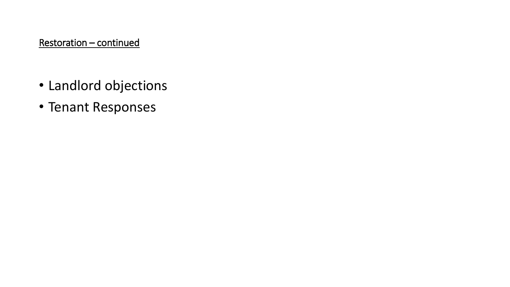## Restoration – continued

- Landlord objections
- Tenant Responses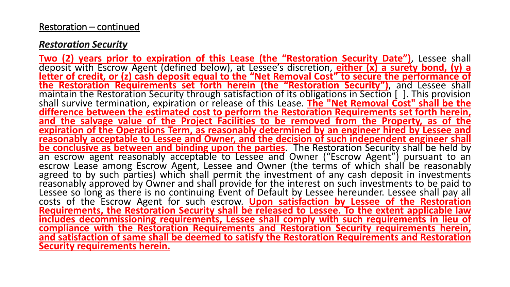#### Restoration – continued

#### *Restoration Security*

**Two (2) years prior to expiration of this Lease (the "Restoration Security Date")**, Lessee shall deposit with Escrow Agent (defined below), at Lessee's discretion, **either (x) a surety bond, (y) a letter of credit, or (z) cash deposit equal to the "Net Removal Cost" to secure the performance of the Restoration Requirements set forth herein (the "Restoration Security")**, and Lessee shall maintain the Restoration Security through satisfaction of its obligations in Section [ ]. This provision shall survive termination, expiration or release of this Lease. **The "Net Removal Cost" shall be the difference between the estimated cost to perform the Restoration Requirements set forth herein, and the salvage value of the Project Facilities to be removed from the Property, as of the expiration of the Operations Term, as reasonably determined by an engineer hired by Lessee and reasonably acceptable to Lessee and Owner, and the decision of such independent engineer shall be conclusive as between and binding upon the parties**. The Restoration Security shall be held by an escrow agent reasonably acceptable to Lessee and Owner ("Escrow Agent") pursuant to an escrow Lease among Escrow Agent, Lessee and Owner (the terms of which shall be reasonably agreed to by such parties) which shall permit the investment of any cash deposit in investments reasonably approved by Owner and shall provide for the interest on such investments to be paid to Lessee so long as there is no continuing Event of Default by Lessee hereunder. Lessee shall pay all costs of the Escrow Agent for such escrow. **Upon satisfaction by Lessee of the Restoration Requirements, the Restoration Security shall be released to Lessee. To the extent applicable law includes decommissioning requirements, Lessee shall comply with such requirements in lieu of compliance with the Restoration Requirements and Restoration Security requirements herein, and satisfaction of same shall be deemed to satisfy the Restoration Requirements and Restoration Security requirements herein.**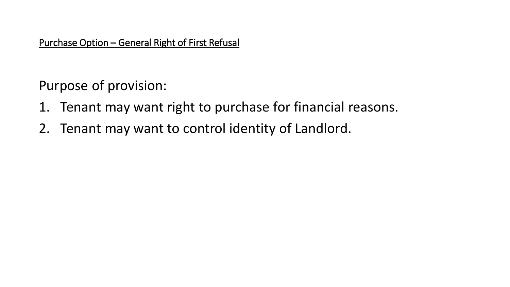Purchase Option – General Right of First Refusal

Purpose of provision:

- 1. Tenant may want right to purchase for financial reasons.
- 2. Tenant may want to control identity of Landlord.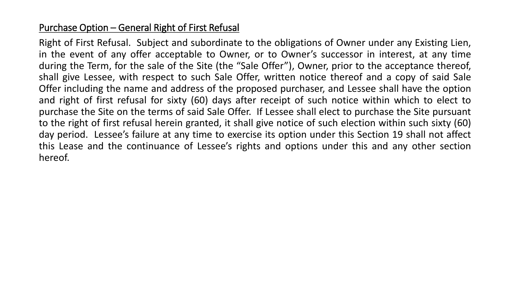## Purchase Option – General Right of First Refusal

Right of First Refusal. Subject and subordinate to the obligations of Owner under any Existing Lien, in the event of any offer acceptable to Owner, or to Owner's successor in interest, at any time during the Term, for the sale of the Site (the "Sale Offer"), Owner, prior to the acceptance thereof, shall give Lessee, with respect to such Sale Offer, written notice thereof and a copy of said Sale Offer including the name and address of the proposed purchaser, and Lessee shall have the option and right of first refusal for sixty (60) days after receipt of such notice within which to elect to purchase the Site on the terms of said Sale Offer. If Lessee shall elect to purchase the Site pursuant to the right of first refusal herein granted, it shall give notice of such election within such sixty (60) day period. Lessee's failure at any time to exercise its option under this Section 19 shall not affect this Lease and the continuance of Lessee's rights and options under this and any other section hereof.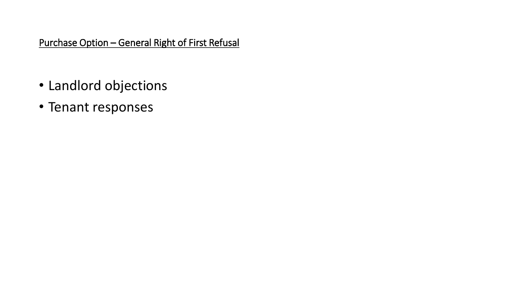Purchase Option – General Right of First Refusal

- Landlord objections
- Tenant responses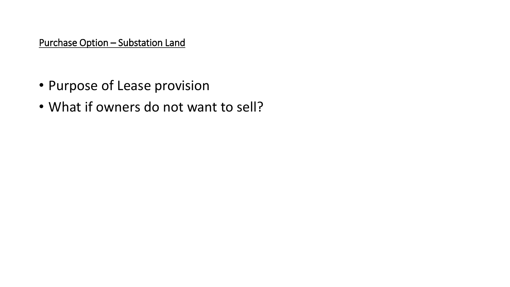Purchase Option – Substation Land

- Purpose of Lease provision
- What if owners do not want to sell?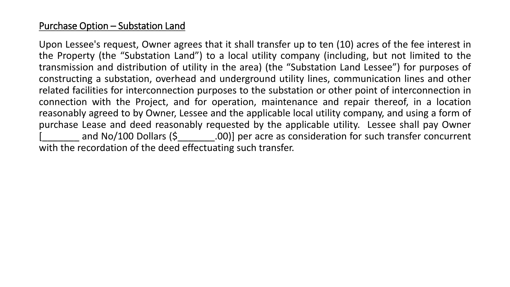## Purchase Option – Substation Land

Upon Lessee's request, Owner agrees that it shall transfer up to ten (10) acres of the fee interest in the Property (the "Substation Land") to a local utility company (including, but not limited to the transmission and distribution of utility in the area) (the "Substation Land Lessee") for purposes of constructing a substation, overhead and underground utility lines, communication lines and other related facilities for interconnection purposes to the substation or other point of interconnection in connection with the Project, and for operation, maintenance and repair thereof, in a location reasonably agreed to by Owner, Lessee and the applicable local utility company, and using a form of purchase Lease and deed reasonably requested by the applicable utility. Lessee shall pay Owner and No/100 Dollars (\$
(100) 00 Dollars (\$
2000)] per acre as consideration for such transfer concurrent with the recordation of the deed effectuating such transfer.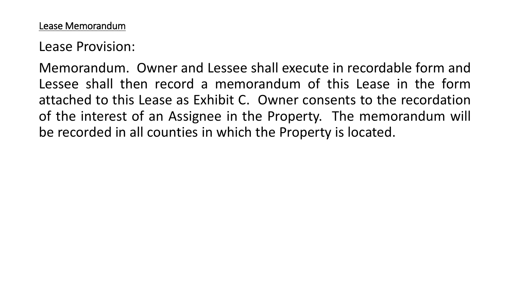Lease Provision:

Memorandum. Owner and Lessee shall execute in recordable form and Lessee shall then record a memorandum of this Lease in the form attached to this Lease as Exhibit C. Owner consents to the recordation of the interest of an Assignee in the Property. The memorandum will be recorded in all counties in which the Property is located.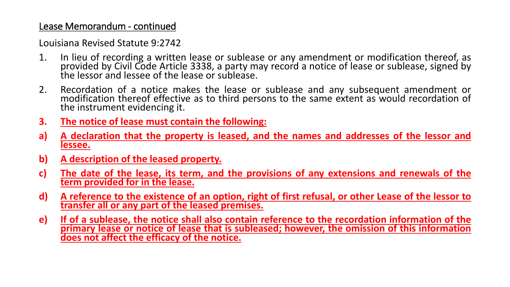### Lease Memorandum - continued

Louisiana Revised Statute 9:2742

- 1. In lieu of recording a written lease or sublease or any amendment or modification thereof, as provided by Civil Code Article 3338, a party may record a notice of lease or sublease, signed by the lessor and lessee of the lease or sublease.
- 2. Recordation of a notice makes the lease or sublease and any subsequent amendment or modification thereof effective as to third persons to the same extent as would recordation of the instrument evidencing it.
- **3. The notice of lease must contain the following:**
- **a) A declaration that the property is leased, and the names and addresses of the lessor and lessee.**
- **b) A description of the leased property.**
- **c) The date of the lease, its term, and the provisions of any extensions and renewals of the term provided for in the lease.**
- d) A reference to the existence of an option, right of first refusal, or other Lease of the lessor to **transfer all or any part of the leased premises.**
- **e) If of a sublease, the notice shall also contain reference to the recordation information of the primary lease or notice of lease that is subleased; however, the omission of this information does not affect the efficacy of the notice.**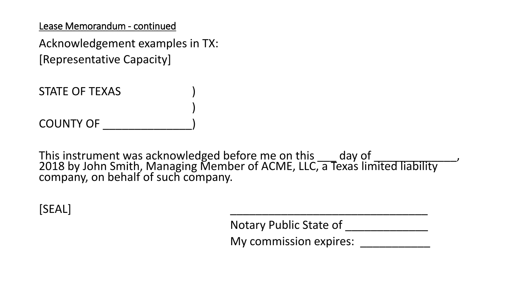Lease Memorandum - continued

Acknowledgement examples in TX: [Representative Capacity]

STATE OF TEXAS )

COUNTY OF \_\_\_\_\_\_\_\_\_\_\_\_\_\_)

This instrument was acknowledged before me on this \_\_\_ day of \_\_\_\_\_\_\_\_\_\_\_\_\_, 2018 by John Smith, Managing Member of ACME, LLC, a Texas limited liability company, on behalf of such company.

)

 $[SEAL]$ 

Notary Public State of \_\_\_\_\_\_\_\_\_\_\_\_\_\_

My commission expires: **With an allegation**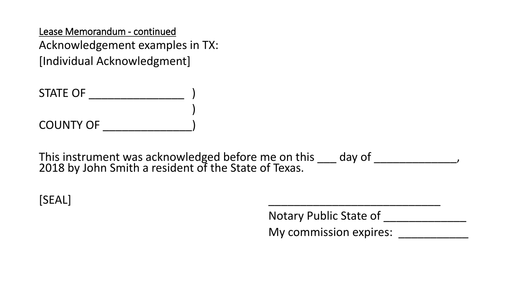Lease Memorandum - continued Acknowledgement examples in TX: [Individual Acknowledgment]

STATE OF \_\_\_\_\_\_\_\_\_\_\_\_\_\_\_ ) ) COUNTY OF \_\_\_\_\_\_\_\_\_\_\_\_\_\_)

This instrument was acknowledged before me on this \_\_\_ day of \_\_\_\_\_\_\_\_\_\_\_\_\_, 2018 by John Smith a resident of the State of Texas.

[SEAL] \_\_\_\_\_\_\_\_\_\_\_\_\_\_\_\_\_\_\_\_\_\_\_\_\_\_\_

Notary Public State of \_\_\_\_\_\_\_\_\_\_\_\_\_ My commission expires: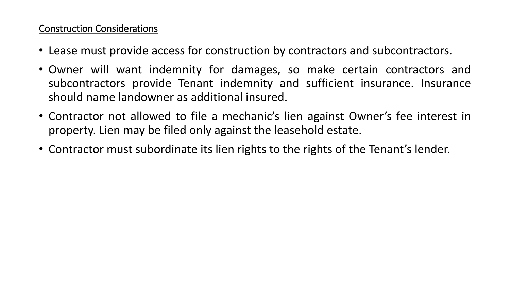## Construction Considerations

- Lease must provide access for construction by contractors and subcontractors.
- Owner will want indemnity for damages, so make certain contractors and subcontractors provide Tenant indemnity and sufficient insurance. Insurance should name landowner as additional insured.
- Contractor not allowed to file a mechanic's lien against Owner's fee interest in property. Lien may be filed only against the leasehold estate.
- Contractor must subordinate its lien rights to the rights of the Tenant's lender.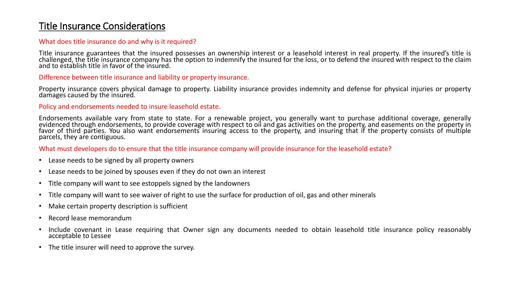## Title Insurance Considerations

#### What does title insurance do and why is it required?

Title insurance guarantees that the insured possesses an ownership interest or a leasehold interest in real property. If the insured's title is challenged, the title insurance company has the option to indemnify the insured for the loss, or to defend the insured with respect to the claim and to establish title in favor of the insured.

Difference between title insurance and liability or property insurance.

Property insurance covers physical damage to property. Liability insurance provides indemnity and defense for physical injuries or property damages caused by the insured.

#### Policy and endorsements needed to insure leasehold estate.

Endorsements available vary from state to state. For a renewable project, you generally want to purchase additional coverage, generally evidenced through endorsements, to provide coverage with respect to oil and gas activities on the property, and easements on the property in favor of third parties. You also want endorsements insuring access to the property, and insuring that if the property consists of multiple parcels, they are contiguous.

What must developers do to ensure that the title insurance company will provide insurance for the leasehold estate?

- Lease needs to be signed by all property owners
- Lease needs to be joined by spouses even if they do not own an interest
- Title company will want to see estoppels signed by the landowners
- Title company will want to see waiver of right to use the surface for production of oil, gas and other minerals
- Make certain property description is sufficient
- Record lease memorandum
- Include covenant in Lease requiring that Owner sign any documents needed to obtain leasehold title insurance policy reasonably acceptable to Lessee
- The title insurer will need to approve the survey.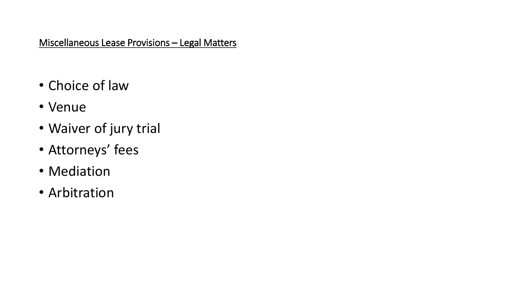## Miscellaneous Lease Provisions – Legal Matters

- Choice of law
- Venue
- Waiver of jury trial
- Attorneys' fees
- Mediation
- Arbitration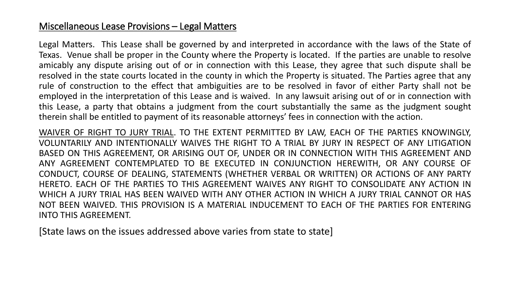## Miscellaneous Lease Provisions – Legal Matters

Legal Matters. This Lease shall be governed by and interpreted in accordance with the laws of the State of Texas. Venue shall be proper in the County where the Property is located. If the parties are unable to resolve amicably any dispute arising out of or in connection with this Lease, they agree that such dispute shall be resolved in the state courts located in the county in which the Property is situated. The Parties agree that any rule of construction to the effect that ambiguities are to be resolved in favor of either Party shall not be employed in the interpretation of this Lease and is waived. In any lawsuit arising out of or in connection with this Lease, a party that obtains a judgment from the court substantially the same as the judgment sought therein shall be entitled to payment of its reasonable attorneys' fees in connection with the action.

WAIVER OF RIGHT TO JURY TRIAL. TO THE EXTENT PERMITTED BY LAW, EACH OF THE PARTIES KNOWINGLY, VOLUNTARILY AND INTENTIONALLY WAIVES THE RIGHT TO A TRIAL BY JURY IN RESPECT OF ANY LITIGATION BASED ON THIS AGREEMENT, OR ARISING OUT OF, UNDER OR IN CONNECTION WITH THIS AGREEMENT AND ANY AGREEMENT CONTEMPLATED TO BE EXECUTED IN CONJUNCTION HEREWITH, OR ANY COURSE OF CONDUCT, COURSE OF DEALING, STATEMENTS (WHETHER VERBAL OR WRITTEN) OR ACTIONS OF ANY PARTY HERETO. EACH OF THE PARTIES TO THIS AGREEMENT WAIVES ANY RIGHT TO CONSOLIDATE ANY ACTION IN WHICH A JURY TRIAL HAS BEEN WAIVED WITH ANY OTHER ACTION IN WHICH A JURY TRIAL CANNOT OR HAS NOT BEEN WAIVED. THIS PROVISION IS A MATERIAL INDUCEMENT TO EACH OF THE PARTIES FOR ENTERING INTO THIS AGREEMENT.

[State laws on the issues addressed above varies from state to state]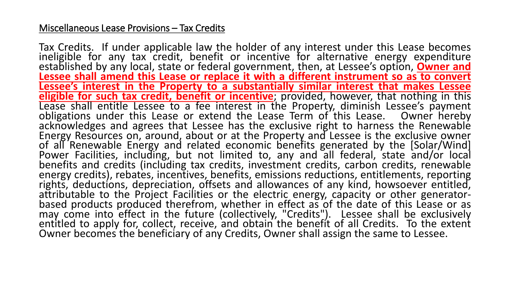## Miscellaneous Lease Provisions – Tax Credits

Tax Credits. If under applicable law the holder of any interest under this Lease becomes ineligible for any tax credit, benefit or incentive for alternative energy expenditure established by any local, state or federal government, then, at Lessee's option, **Owner and Lessee shall amend this Lease or replace it with a different instrument so as to convert Lessee's interest in the Property to a substantially similar interest that makes Lessee eligible for such tax credit, benefit or incentive**; provided, however, that nothing in this Lease shall entitle Lessee to a fee interest in the Property, diminish Lessee's payment obligations under this Lease or extend the Lease Term of this Lease. Owner hereby acknowledges and agrees that Lessee has the exclusive right to harness the Renewable Energy Resources on, around, about or at the Property and Lessee is the exclusive owner of all Renewable Energy and related economic benefits generated by the [Solar/Wind] Power Facilities, including, but not limited to, any and all federal, state and/or local benefits and credits (including tax credits, investment credits, carbon credits, renewable energy credits), rebates, incentives, benefits, emissions reductions, entitlements, reporting rights, deductions, depreciation, offsets and allowances of any kind, howsoever entitled, attributable to the Project Facilities or the electric energy, capacity or other generatorbased products produced therefrom, whether in effect as of the date of this Lease or as may come into effect in the future (collectively, "Credits"). Lessee shall be exclusively entitled to apply for, collect, receive, and obtain the benefit of all Credits. To the extent Owner becomes the beneficiary of any Credits, Owner shall assign the same to Lessee.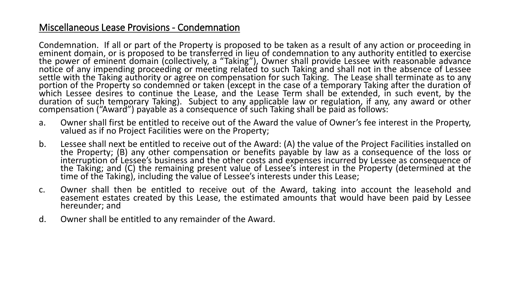## Miscellaneous Lease Provisions - Condemnation

Condemnation. If all or part of the Property is proposed to be taken as a result of any action or proceeding in eminent domain, or is proposed to be transferred in lieu of condemnation to any authority entitled to exercise the power of eminent domain (collectively, a "Taking"), Owner shall provide Lessee with reasonable advance notice of any impending proceeding or meeting related to such Taking and shall not in the absence of Lessee settle with the Taking authority or agree on compensation for such Taking. The Lease shall terminate as to any portion of the Property so condemned or taken (except in the case of a temporary Taking after the duration of which Lessee desires to continue the Lease, and the Lease Term shall be extended, in such event, by the duration of such temporary Taking). Subject to any applicable law or regulation, if any, any award or other compensation ("Award") payable as a consequence of such Taking shall be paid as follows:

- a. Owner shall first be entitled to receive out of the Award the value of Owner's fee interest in the Property, valued as if no Project Facilities were on the Property;
- b. Lessee shall next be entitled to receive out of the Award: (A) the value of the Project Facilities installed on the Property; (B) any other compensation or benefits payable by law as a consequence of the loss or interruption of Lessee's business and the other costs and expenses incurred by Lessee as consequence of the Taking; and (C) the remaining present value of Lessee's interest in the Property (determined at the time of the Taking), including the value of Lessee's interests under this Lease;
- c. Owner shall then be entitled to receive out of the Award, taking into account the leasehold and easement estates created by this Lease, the estimated amounts that would have been paid by Lessee hereunder; and
- d. Owner shall be entitled to any remainder of the Award.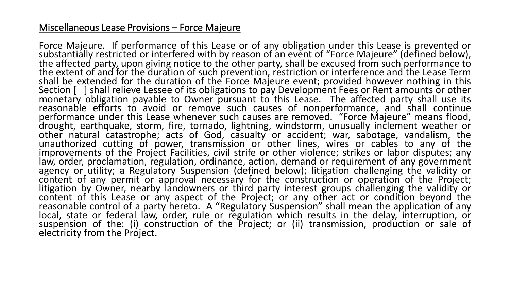## Miscellaneous Lease Provisions – Force Majeure

Force Majeure. If performance of this Lease or of any obligation under this Lease is prevented or substantially restricted or interfered with by reason of an event of "Force Majeure" (defined below), the affected party, upon giving notice to the other party, shall be excused from such performance to the extent of and for the duration of such prevention, restriction or interference and the Lease Term shall be extended for the duration of the Force Majeure event; provided however nothing in this Section [ ] shall relieve Lessee of its obligations to pay Development Fees or Rent amounts or other monetary obligation payable to Owner pursuant to this Lease. The affected party shall use its reasonable efforts to avoid or remove such causes of nonperformance, and shall continue performance under this Lease whenever such causes are removed. "Force Majeure" means flood, drought, earthquake, storm, fire, tornado, lightning, windstorm, unusually inclement weather or other natural catastrophe; acts of God, casualty or accident; war, sabotage, vandalism, the unauthorized cutting of power, transmission or other lines, wires or cables to any of the improvements of the Project Facilities, civil strife or other violence; strikes or labor disputes; any law, order, proclamation, regulation, ordinance, action, demand or requirement of any government agency or utility; a Regulatory Suspension (defined below); litigation challenging the validity or content of any permit or approval necessary for the construction or operation of the Project; litigation by Owner, nearby landowners or third party interest groups challenging the validity or content of this Lease or any aspect of the Project; or any other act or condition beyond the reasonable control of a party hereto. A "Regulatory Suspension" shall mean the application of any local, state or federal law, order, rule or regulation which results in the delay, interruption, or suspension of the: (i) construction of the Project; or (ii) transmission, production or sale of electricity from the Project.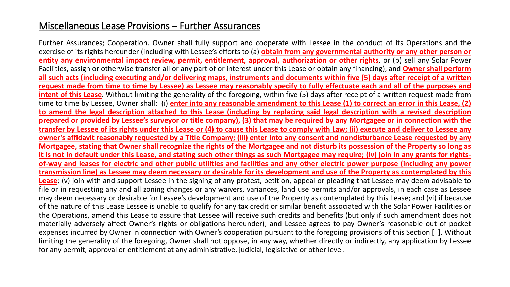## Miscellaneous Lease Provisions – Further Assurances

Further Assurances; Cooperation. Owner shall fully support and cooperate with Lessee in the conduct of its Operations and the exercise of its rights hereunder (including with Lessee's efforts to (a) **obtain from any governmental authority or any other person or entity any environmental impact review, permit, entitlement, approval, authorization or other rights**, or (b) sell any Solar Power Facilities, assign or otherwise transfer all or any part of or interest under this Lease or obtain any financing), and **Owner shall perform** all such acts (including executing and/or delivering maps, instruments and documents within five (5) days after receipt of a written request made from time to time by Lessee) as Lessee may reasonably specify to fully effectuate each and all of the purposes and **intent of this Lease**. Without limiting the generality of the foregoing, within five (5) days after receipt of a written request made from time to time by Lessee, Owner shall: (i) enter into any reasonable amendment to this Lease (1) to correct an error in this Lease, (2) to amend the legal description attached to this Lease (including by replacing said legal description with a revised description prepared or provided by Lessee's surveyor or title company), (3) that may be required by any Mortgagee or in connection with the transfer by Lessee of its rights under this Lease or (4) to cause this Lease to comply with Law; (ii) execute and deliver to Lessee any owner's affidavit reasonably requested by a Title Company; (iii) enter into any consent and nondisturbance Lease requested by any Mortgagee, stating that Owner shall recognize the rights of the Mortgagee and not disturb its possession of the Property so long as it is not in default under this Lease, and stating such other things as such Mortgagee may require; (iv) join in any grants for rightsof-way and leases for electric and other public utilities and facilities and any other electric power purpose (including any power transmission line) as Lessee may deem necessary or desirable for its development and use of the Property as contemplated by this **Lease**; (v) join with and support Lessee in the signing of any protest, petition, appeal or pleading that Lessee may deem advisable to file or in requesting any and all zoning changes or any waivers, variances, land use permits and/or approvals, in each case as Lessee may deem necessary or desirable for Lessee's development and use of the Property as contemplated by this Lease; and (vi) if because of the nature of this Lease Lessee is unable to qualify for any tax credit or similar benefit associated with the Solar Power Facilities or the Operations, amend this Lease to assure that Lessee will receive such credits and benefits (but only if such amendment does not materially adversely affect Owner's rights or obligations hereunder); and Lessee agrees to pay Owner's reasonable out of pocket expenses incurred by Owner in connection with Owner's cooperation pursuant to the foregoing provisions of this Section [ ]. Without limiting the generality of the foregoing, Owner shall not oppose, in any way, whether directly or indirectly, any application by Lessee for any permit, approval or entitlement at any administrative, judicial, legislative or other level.